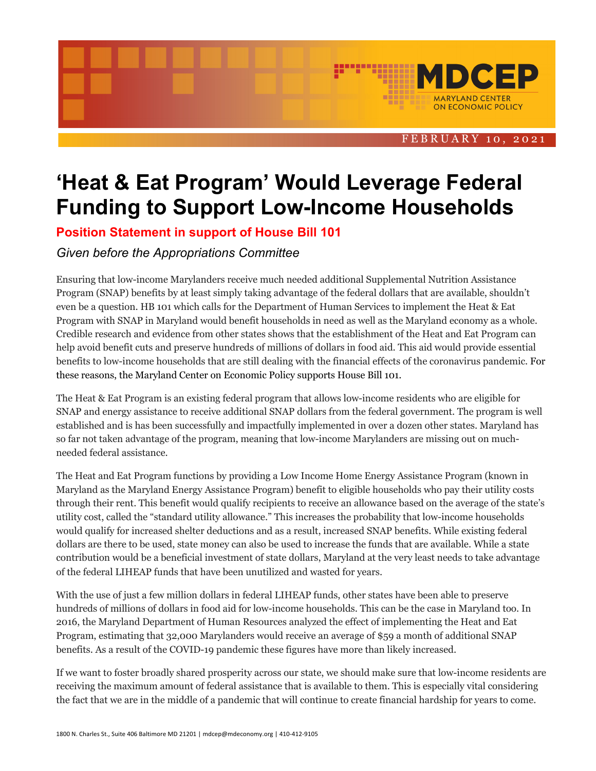

# **'Heat & Eat Program' Would Leverage Federal Funding to Support Low-Income Households**

## **Position Statement in support of House Bill 101**

*Given before the Appropriations Committee*

Ensuring that low-income Marylanders receive much needed additional Supplemental Nutrition Assistance Program (SNAP) benefits by at least simply taking advantage of the federal dollars that are available, shouldn't even be a question. HB 101 which calls for the Department of Human Services to implement the Heat & Eat Program with SNAP in Maryland would benefit households in need as well as the Maryland economy as a whole. Credible research and evidence from other states shows that the establishment of the Heat and Eat Program can help avoid benefit cuts and preserve hundreds of millions of dollars in food aid. This aid would provide essential benefits to low-income households that are still dealing with the financial effects of the coronavirus pandemic. For these reasons, the Maryland Center on Economic Policy supports House Bill 101.

The Heat & Eat Program is an existing federal program that allows low-income residents who are eligible for SNAP and energy assistance to receive additional SNAP dollars from the federal government. The program is well established and is has been successfully and impactfully implemented in over a dozen other states. Maryland has so far not taken advantage of the program, meaning that low-income Marylanders are missing out on muchneeded federal assistance.

The Heat and Eat Program functions by providing a Low Income Home Energy Assistance Program (known in Maryland as the Maryland Energy Assistance Program) benefit to eligible households who pay their utility costs through their rent. This benefit would qualify recipients to receive an allowance based on the average of the state's utility cost, called the "standard utility allowance." This increases the probability that low-income households would qualify for increased shelter deductions and as a result, increased SNAP benefits. While existing federal dollars are there to be used, state money can also be used to increase the funds that are available. While a state contribution would be a beneficial investment of state dollars, Maryland at the very least needs to take advantage of the federal LIHEAP funds that have been unutilized and wasted for years.

With the use of just a few million dollars in federal LIHEAP funds, other states have been able to preserve hundreds of millions of dollars in food aid for low-income households. This can be the case in Maryland too. In 2016, the Maryland Department of Human Resources analyzed the effect of implementing the Heat and Eat Program, estimating that 32,000 Marylanders would receive an average of \$59 a month of additional SNAP benefits. As a result of the COVID-19 pandemic these figures have more than likely increased.

If we want to foster broadly shared prosperity across our state, we should make sure that low-income residents are receiving the maximum amount of federal assistance that is available to them. This is especially vital considering the fact that we are in the middle of a pandemic that will continue to create financial hardship for years to come.